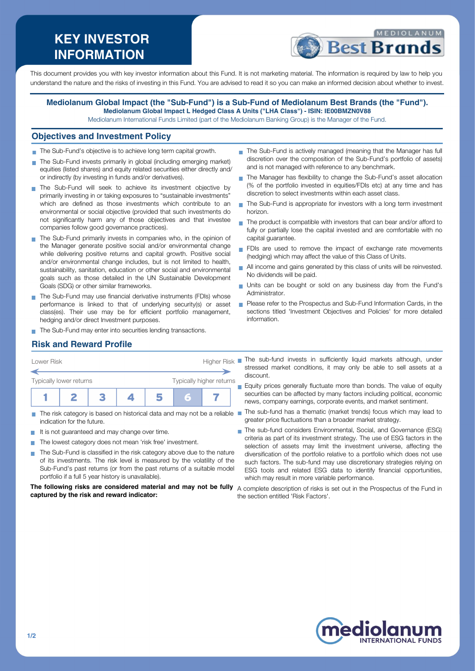# **KEY INVESTOR INFORMATION**



This document provides you with key investor information about this Fund. It is not marketing material. The information is required by law to help you understand the nature and the risks of investing in this Fund. You are advised to read it so you can make an informed decision about whether to invest.

#### **Mediolanum Global Impact (the "Sub-Fund") is a Sub-Fund of Mediolanum Best Brands (the "Fund"). Mediolanum Global Impact L Hedged Class A Units ("LHA Class") - ISIN: IE00BMZN0V88**

Mediolanum International Funds Limited (part of the Mediolanum Banking Group) is the Manager of the Fund.

#### **Objectives and Investment Policy**

- The Sub-Fund's objective is to achieve long term capital growth.
- The Sub-Fund invests primarily in global (including emerging market) equities (listed shares) and equity related securities either directly and/ or indirectly (by investing in funds and/or derivatives).
- The Sub-Fund will seek to achieve its investment objective by primarily investing in or taking exposures to "sustainable investments" which are defined as those investments which contribute to an environmental or social objective (provided that such investments do not significantly harm any of those objectives and that investee companies follow good governance practices).
- The Sub-Fund primarily invests in companies who, in the opinion of the Manager generate positive social and/or environmental change while delivering positive returns and capital growth. Positive social and/or environmental change includes, but is not limited to health, sustainability, sanitation, education or other social and environmental goals such as those detailed in the UN Sustainable Development Goals (SDG) or other similar frameworks.
- The Sub-Fund may use financial derivative instruments (FDIs) whose performance is linked to that of underlying security(s) or asset class(es). Their use may be for efficient portfolio management, hedging and/or direct Investment purposes.
- The Sub-Fund may enter into securities lending transactions.
- The Sub-Fund is actively managed (meaning that the Manager has full discretion over the composition of the Sub-Fund's portfolio of assets) and is not managed with reference to any benchmark.
- The Manager has flexibility to change the Sub-Fund's asset allocation (% of the portfolio invested in equities/FDIs etc) at any time and has discretion to select investments within each asset class.
- The Sub-Fund is appropriate for investors with a long term investment horizon.
- The product is compatible with investors that can bear and/or afford to fully or partially lose the capital invested and are comfortable with no capital guarantee.
- FDIs are used to remove the impact of exchange rate movements (hedging) which may affect the value of this Class of Units.
- All income and gains generated by this class of units will be reinvested. No dividends will be paid.
- Units can be bought or sold on any business day from the Fund's Administrator.
- Please refer to the Prospectus and Sub-Fund Information Cards, in the sections titled 'Investment Objectives and Policies' for more detailed information.

# **Risk and Reward Profile**

| Lower Risk                     |  |  | <b>Higher Risk</b> |  |                          |  |  |
|--------------------------------|--|--|--------------------|--|--------------------------|--|--|
|                                |  |  |                    |  |                          |  |  |
| <b>Typically lower returns</b> |  |  |                    |  | Typically higher returns |  |  |
|                                |  |  |                    |  | F                        |  |  |
|                                |  |  |                    |  |                          |  |  |

- The risk category is based on historical data and may not be a reliable indication for the future.
- It is not guaranteed and may change over time.
- The lowest category does not mean 'risk free' investment.
- The Sub-Fund is classified in the risk category above due to the nature of its investments. The risk level is measured by the volatility of the Sub-Fund's past returns (or from the past returns of a suitable model portfolio if a full 5 year history is unavailable).

**The following risks are considered material and may not be fully** A complete description of risks is set out in the Prospectus of the Fund in **captured by the risk and reward indicator:**

- The sub-fund invests in sufficiently liquid markets although, under stressed market conditions, it may only be able to sell assets at a discount.
- Equity prices generally fluctuate more than bonds. The value of equity securities can be affected by many factors including political, economic news, company earnings, corporate events, and market sentiment.
- The sub-fund has a thematic (market trends) focus which may lead to greater price fluctuations than a broader market strategy.
- The sub-fund considers Environmental, Social, and Governance (ESG) criteria as part of its investment strategy. The use of ESG factors in the selection of assets may limit the investment universe, affecting the diversification of the portfolio relative to a portfolio which does not use such factors. The sub-fund may use discretionary strategies relying on ESG tools and related ESG data to identify financial opportunities, which may result in more variable performance.
- the section entitled 'Risk Factors'.